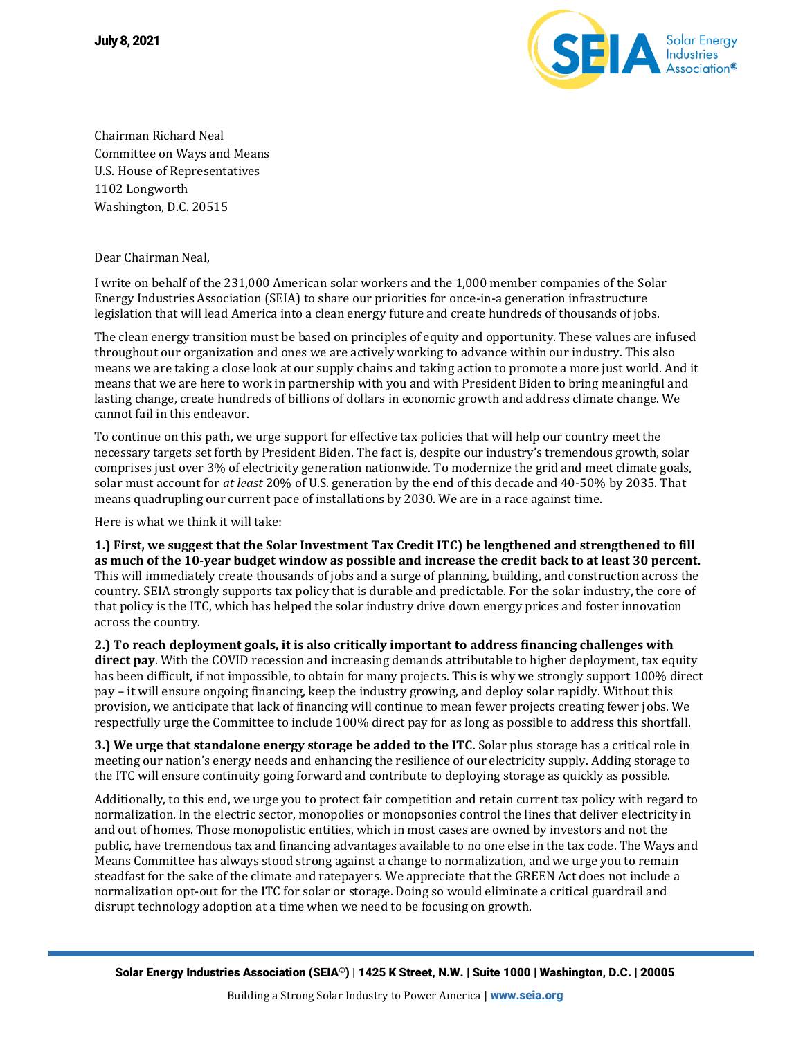

Chairman Richard Neal Committee on Ways and Means U.S. House of Representatives 1102 Longworth Washington, D.C. 20515

## Dear Chairman Neal,

I write on behalf of the 231,000 American solar workers and the 1,000 member companies of the Solar Energy Industries Association (SEIA) to share our priorities for once-in-a generation infrastructure legislation that will lead America into a clean energy future and create hundreds of thousands of jobs.

The clean energy transition must be based on principles of equity and opportunity. These values are infused throughout our organization and ones we are actively working to advance within our industry. This also means we are taking a close look at our supply chains and taking action to promote a more just world. And it means that we are here to work in partnership with you and with President Biden to bring meaningful and lasting change, create hundreds of billions of dollars in economic growth and address climate change. We cannot fail in this endeavor.

To continue on this path, we urge support for effective tax policies that will help our country meet the necessary targets set forth by President Biden. The fact is, despite our industry's tremendous growth, solar comprises just over 3% of electricity generation nationwide. To modernize the grid and meet climate goals, solar must account for *at least* 20% of U.S. generation by the end of this decade and 40-50% by 2035. That means quadrupling our current pace of installations by 2030. We are in a race against time.

Here is what we think it will take:

**1.) First, we suggest that the Solar Investment Tax Credit ITC) be lengthened and strengthened to fill as much of the 10-year budget window as possible and increase the credit back to at least 30 percent.** This will immediately create thousands of jobs and a surge of planning, building, and construction across the country. SEIA strongly supports tax policy that is durable and predictable. For the solar industry, the core of that policy is the ITC, which has helped the solar industry drive down energy prices and foster innovation across the country.

**2.) To reach deployment goals, it is also critically important to address financing challenges with direct pay.** With the COVID recession and increasing demands attributable to higher deployment, tax equity has been difficult, if not impossible, to obtain for many projects. This is why we strongly support 100% direct pay – it will ensure ongoing financing, keep the industry growing, and deploy solar rapidly. Without this provision, we anticipate that lack of financing will continue to mean fewer projects creating fewer jobs. We respectfully urge the Committee to include 100% direct pay for as long as possible to address this shortfall.

**3.) We urge that standalone energy storage be added to the ITC**. Solar plus storage has a critical role in meeting our nation's energy needs and enhancing the resilience of our electricity supply. Adding storage to the ITC will ensure continuity going forward and contribute to deploying storage as quickly as possible.

Additionally, to this end, we urge you to protect fair competition and retain current tax policy with regard to normalization. In the electric sector, monopolies or monopsonies control the lines that deliver electricity in and out of homes. Those monopolistic entities, which in most cases are owned by investors and not the public, have tremendous tax and financing advantages available to no one else in the tax code. The Ways and Means Committee has always stood strong against a change to normalization, and we urge you to remain steadfast for the sake of the climate and ratepayers. We appreciate that the GREEN Act does not include a normalization opt-out for the ITC for solar or storage. Doing so would eliminate a critical guardrail and disrupt technology adoption at a time when we need to be focusing on growth.